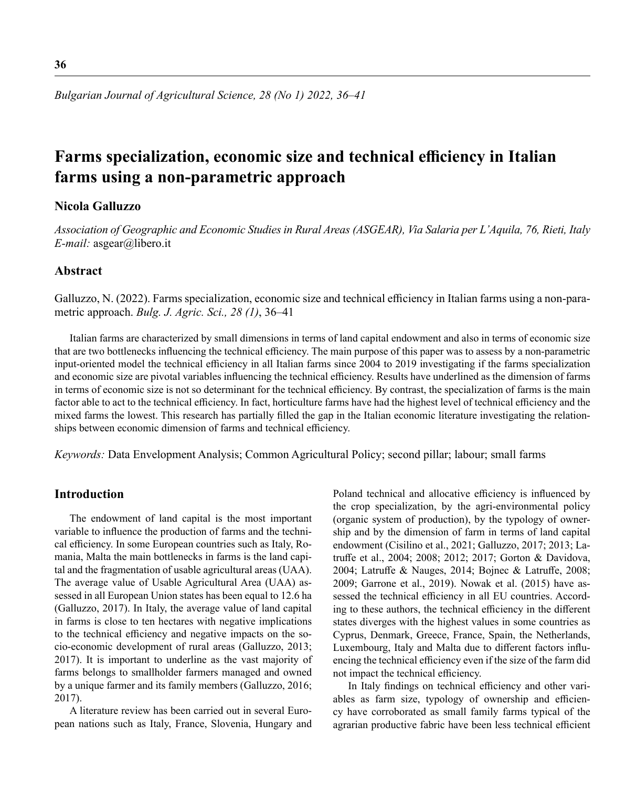# **Farms specialization, economic size and technical efficiency in Italian farms using a non-parametric approach**

# **Nicola Galluzzo**

*Association of Geographic and Economic Studies in Rural Areas (ASGEAR), Via Salaria per L'Aquila, 76, Rieti, Italy E-mail:* asgear@libero.it

#### **Abstract**

Galluzzo, N. (2022). Farms specialization, economic size and technical efficiency in Italian farms using a non-parametric approach. *Bulg. J. Agric. Sci., 28 (1)*, 36–41

Italian farms are characterized by small dimensions in terms of land capital endowment and also in terms of economic size that are two bottlenecks influencing the technical efficiency. The main purpose of this paper was to assess by a non-parametric input-oriented model the technical efficiency in all Italian farms since 2004 to 2019 investigating if the farms specialization and economic size are pivotal variables influencing the technical efficiency. Results have underlined as the dimension of farms in terms of economic size is not so determinant for the technical efficiency. By contrast, the specialization of farms is the main factor able to act to the technical efficiency. In fact, horticulture farms have had the highest level of technical efficiency and the mixed farms the lowest. This research has partially filled the gap in the Italian economic literature investigating the relationships between economic dimension of farms and technical efficiency.

*Keywords:* Data Envelopment Analysis; Common Agricultural Policy; second pillar; labour; small farms

#### **Introduction**

The endowment of land capital is the most important variable to influence the production of farms and the technical efficiency. In some European countries such as Italy, Romania, Malta the main bottlenecks in farms is the land capital and the fragmentation of usable agricultural areas (UAA). The average value of Usable Agricultural Area (UAA) assessed in all European Union states has been equal to 12.6 ha (Galluzzo, 2017). In Italy, the average value of land capital in farms is close to ten hectares with negative implications to the technical efficiency and negative impacts on the socio-economic development of rural areas (Galluzzo, 2013; 2017). It is important to underline as the vast majority of farms belongs to smallholder farmers managed and owned by a unique farmer and its family members (Galluzzo, 2016; 2017).

A literature review has been carried out in several European nations such as Italy, France, Slovenia, Hungary and Poland technical and allocative efficiency is influenced by the crop specialization, by the agri-environmental policy (organic system of production), by the typology of ownership and by the dimension of farm in terms of land capital endowment (Cisilino et al., 2021; Galluzzo, 2017; 2013; Latruffe et al., 2004; 2008; 2012; 2017; Gorton & Davidova, 2004; Latruffe & Nauges, 2014; Bojnec & Latruffe, 2008; 2009; Garrone et al., 2019). Nowak et al. (2015) have assessed the technical efficiency in all EU countries. According to these authors, the technical efficiency in the different states diverges with the highest values in some countries as Cyprus, Denmark, Greece, France, Spain, the Netherlands, Luxembourg, Italy and Malta due to different factors influencing the technical efficiency even if the size of the farm did not impact the technical efficiency.

In Italy findings on technical efficiency and other variables as farm size, typology of ownership and efficiency have corroborated as small family farms typical of the agrarian productive fabric have been less technical efficient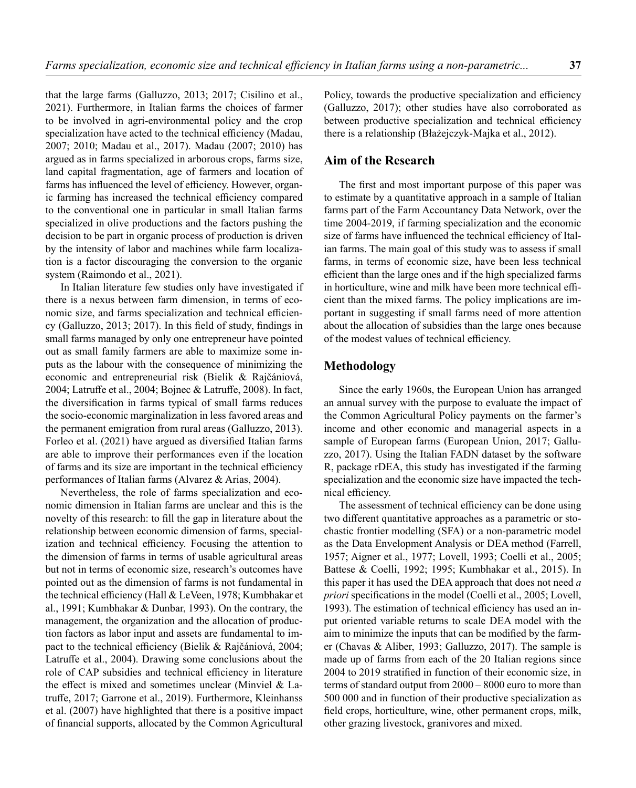that the large farms (Galluzzo, 2013; 2017; Cisilino et al., 2021). Furthermore, in Italian farms the choices of farmer to be involved in agri-environmental policy and the crop specialization have acted to the technical efficiency (Madau, 2007; 2010; Madau et al., 2017). Madau (2007; 2010) has argued as in farms specialized in arborous crops, farms size, land capital fragmentation, age of farmers and location of farms has influenced the level of efficiency. However, organic farming has increased the technical efficiency compared to the conventional one in particular in small Italian farms specialized in olive productions and the factors pushing the decision to be part in organic process of production is driven by the intensity of labor and machines while farm localization is a factor discouraging the conversion to the organic system (Raimondo et al., 2021).

In Italian literature few studies only have investigated if there is a nexus between farm dimension, in terms of economic size, and farms specialization and technical efficiency (Galluzzo, 2013; 2017). In this field of study, findings in small farms managed by only one entrepreneur have pointed out as small family farmers are able to maximize some inputs as the labour with the consequence of minimizing the economic and entrepreneurial risk (Bielik & Rajčániová, 2004; Latruffe et al., 2004; Bojnec & Latruffe, 2008). In fact, the diversification in farms typical of small farms reduces the socio-economic marginalization in less favored areas and the permanent emigration from rural areas (Galluzzo, 2013). Forleo et al. (2021) have argued as diversified Italian farms are able to improve their performances even if the location of farms and its size are important in the technical efficiency performances of Italian farms (Alvarez & Arias, 2004).

Nevertheless, the role of farms specialization and economic dimension in Italian farms are unclear and this is the novelty of this research: to fill the gap in literature about the relationship between economic dimension of farms, specialization and technical efficiency. Focusing the attention to the dimension of farms in terms of usable agricultural areas but not in terms of economic size, research's outcomes have pointed out as the dimension of farms is not fundamental in the technical efficiency (Hall & LeVeen, 1978; Kumbhakar et al., 1991; Kumbhakar & Dunbar, 1993). On the contrary, the management, the organization and the allocation of production factors as labor input and assets are fundamental to impact to the technical efficiency (Bielik & Rajčániová, 2004; Latruffe et al., 2004). Drawing some conclusions about the role of CAP subsidies and technical efficiency in literature the effect is mixed and sometimes unclear (Minviel & Latruffe, 2017; Garrone et al., 2019). Furthermore, Kleinhanss et al. (2007) have highlighted that there is a positive impact of financial supports, allocated by the Common Agricultural Policy, towards the productive specialization and efficiency (Galluzzo, 2017); other studies have also corroborated as between productive specialization and technical efficiency there is a relationship (Błażejczyk-Majka et al., 2012).

## **Aim of the Research**

The first and most important purpose of this paper was to estimate by a quantitative approach in a sample of Italian farms part of the Farm Accountancy Data Network, over the time 2004-2019, if farming specialization and the economic size of farms have influenced the technical efficiency of Italian farms. The main goal of this study was to assess if small farms, in terms of economic size, have been less technical efficient than the large ones and if the high specialized farms in horticulture, wine and milk have been more technical efficient than the mixed farms. The policy implications are important in suggesting if small farms need of more attention about the allocation of subsidies than the large ones because of the modest values of technical efficiency.

## **Methodology**

Since the early 1960s, the European Union has arranged an annual survey with the purpose to evaluate the impact of the Common Agricultural Policy payments on the farmer's income and other economic and managerial aspects in a sample of European farms (European Union, 2017; Galluzzo, 2017). Using the Italian FADN dataset by the software R, package rDEA, this study has investigated if the farming specialization and the economic size have impacted the technical efficiency.

The assessment of technical efficiency can be done using two different quantitative approaches as a parametric or stochastic frontier modelling (SFA) or a non-parametric model as the Data Envelopment Analysis or DEA method (Farrell, 1957; Aigner et al., 1977; Lovell, 1993; Coelli et al., 2005; Battese & Coelli, 1992; 1995; Kumbhakar et al., 2015). In this paper it has used the DEA approach that does not need *a priori* specifications in the model (Coelli et al., 2005; Lovell, 1993). The estimation of technical efficiency has used an input oriented variable returns to scale DEA model with the aim to minimize the inputs that can be modified by the farmer (Chavas & Aliber, 1993; Galluzzo, 2017). The sample is made up of farms from each of the 20 Italian regions since 2004 to 2019 stratified in function of their economic size, in terms of standard output from 2000 – 8000 euro to more than 500 000 and in function of their productive specialization as field crops, horticulture, wine, other permanent crops, milk, other grazing livestock, granivores and mixed.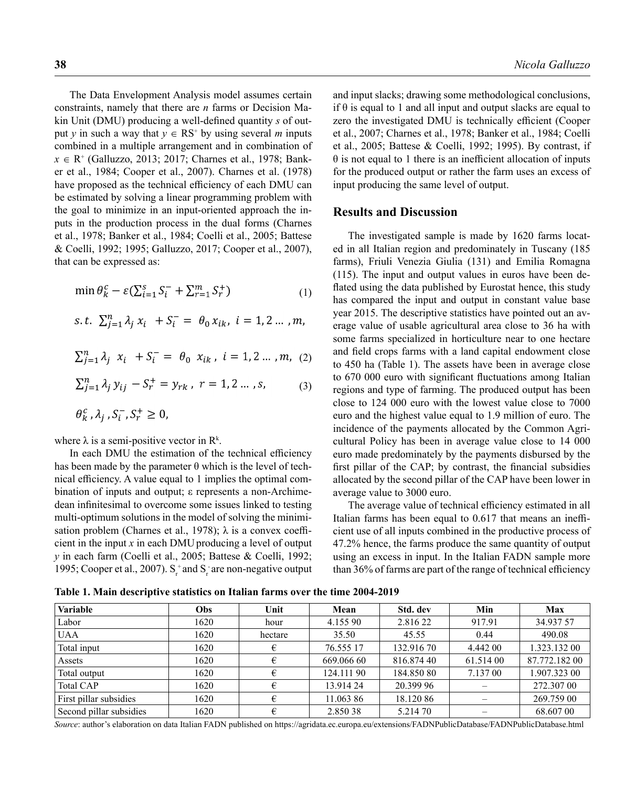The Data Envelopment Analysis model assumes certain constraints, namely that there are *n* farms or Decision Makin Unit (DMU) producing a well-defined quantity *s* of output *y* in such a way that  $y \in RS^+$  by using several *m* inputs combined in a multiple arrangement and in combination of *x* ∈ R<sup>+</sup> (Galluzzo, 2013; 2017; Charnes et al., 1978; Banker et al., 1984; Cooper et al., 2007). Charnes et al. (1978) have proposed as the technical efficiency of each DMU can be estimated by solving a linear programming problem with the goal to minimize in an input-oriented approach the inputs in the production process in the dual forms (Charnes et al., 1978; Banker et al., 1984; Coelli et al., 2005; Battese & Coelli, 1992; 1995; Galluzzo, 2017; Cooper et al., 2007), that can be expressed as:

$$
\min \theta_k^c - \varepsilon \left( \sum_{i=1}^S S_i^- + \sum_{r=1}^m S_r^+ \right) \tag{1}
$$

$$
s.t. \ \sum_{j=1}^{n} \lambda_j x_i + S_i^- = \theta_0 x_{ik}, \ i = 1, 2 \dots, m,
$$

$$
\sum_{j=1}^{n} \lambda_j x_i + S_i^- = \theta_0 x_{ik}, i = 1, 2 \dots, m, (2)
$$

$$
\sum_{j=1}^{n} \lambda_j y_{ij} - S_r^+ = y_{rk}, \ r = 1, 2 \dots, s,
$$
 (3)

$$
\theta_k^c, \lambda_i, S_i^-, S_r^+ \ge 0,
$$

where  $\lambda$  is a semi-positive vector in  $\mathbb{R}^k$ .

In each DMU the estimation of the technical efficiency has been made by the parameter  $\theta$  which is the level of technical efficiency. A value equal to 1 implies the optimal combination of inputs and output; ε represents a non-Archimedean infinitesimal to overcome some issues linked to testing multi-optimum solutions in the model of solving the minimisation problem (Charnes et al., 1978);  $\lambda$  is a convex coefficient in the input *x* in each DMU producing a level of output *y* in each farm (Coelli et al., 2005; Battese & Coelli, 1992; 1995; Cooper et al., 2007).  $S_r^+$  and  $S_r^-$  are non-negative output and input slacks; drawing some methodological conclusions, if  $\theta$  is equal to 1 and all input and output slacks are equal to zero the investigated DMU is technically efficient (Cooper et al., 2007; Charnes et al., 1978; Banker et al., 1984; Coelli et al., 2005; Battese & Coelli, 1992; 1995). By contrast, if  $\theta$  is not equal to 1 there is an inefficient allocation of inputs for the produced output or rather the farm uses an excess of input producing the same level of output.

#### **Results and Discussion**

The investigated sample is made by 1620 farms located in all Italian region and predominately in Tuscany (185 farms), Friuli Venezia Giulia (131) and Emilia Romagna (115). The input and output values in euros have been deflated using the data published by Eurostat hence, this study has compared the input and output in constant value base year 2015. The descriptive statistics have pointed out an average value of usable agricultural area close to 36 ha with some farms specialized in horticulture near to one hectare and field crops farms with a land capital endowment close to 450 ha (Table 1). The assets have been in average close to 670 000 euro with significant fluctuations among Italian regions and type of farming. The produced output has been close to 124 000 euro with the lowest value close to 7000 euro and the highest value equal to 1.9 million of euro. The incidence of the payments allocated by the Common Agricultural Policy has been in average value close to 14 000 euro made predominately by the payments disbursed by the first pillar of the CAP; by contrast, the financial subsidies allocated by the second pillar of the CAP have been lower in average value to 3000 euro.

The average value of technical efficiency estimated in all Italian farms has been equal to 0.617 that means an inefficient use of all inputs combined in the productive process of 47.2% hence, the farms produce the same quantity of output using an excess in input. In the Italian FADN sample more than 36% of farms are part of the range of technical efficiency

**Table 1. Main descriptive statistics on Italian farms over the time 2004-2019**

| Variable                | Obs  | Unit    | Mean       | Std. dev   | Min       | Max           |
|-------------------------|------|---------|------------|------------|-----------|---------------|
| Labor                   | 1620 | hour    | 4.155 90   | 2.816 22   | 917.91    | 34.937 57     |
| <b>UAA</b>              | 1620 | hectare | 35.50      | 45.55      | 0.44      | 490.08        |
| Total input             | 1620 | €       | 76.555 17  | 132.916 70 | 4.442 00  | 1.323.132 00  |
| Assets                  | 1620 | €       | 669.066 60 | 816.874 40 | 61.514 00 | 87.772.182 00 |
| Total output            | 1620 | €       | 124.111 90 | 184.850 80 | 7.137 00  | 1.907.323 00  |
| Total CAP               | 1620 | €       | 13.914 24  | 20.399 96  |           | 272.307 00    |
| First pillar subsidies  | 1620 | €       | 11.063 86  | 18.120 86  |           | 269.759 00    |
| Second pillar subsidies | 1620 | €       | 2.850 38   | 5.214 70   |           | 68.607 00     |

*Source*: author's elaboration on data Italian FADN published on https://agridata.ec.europa.eu/extensions/FADNPublicDatabase/FADNPublicDatabase.html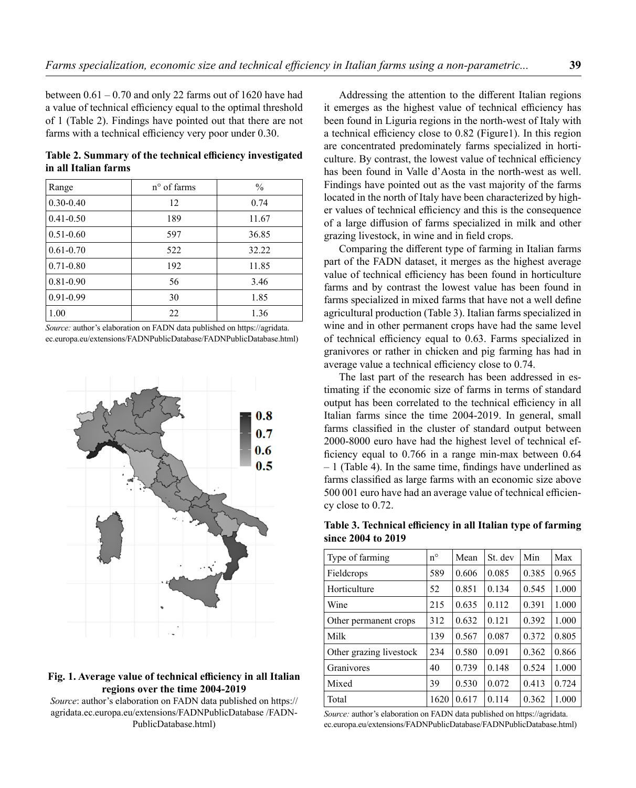between  $0.61 - 0.70$  and only 22 farms out of 1620 have had a value of technical efficiency equal to the optimal threshold of 1 (Table 2). Findings have pointed out that there are not farms with a technical efficiency very poor under 0.30.

**Table 2. Summary of the technical efficiency investigated in all Italian farms**

| Range         | $n^{\circ}$ of farms | $\frac{0}{0}$ |
|---------------|----------------------|---------------|
| $0.30 - 0.40$ | 12                   | 0.74          |
| $0.41 - 0.50$ | 189                  | 11.67         |
| $0.51 - 0.60$ | 597                  | 36.85         |
| $0.61 - 0.70$ | 522                  | 32.22         |
| $0.71 - 0.80$ | 192                  | 11.85         |
| $0.81 - 0.90$ | 56                   | 3.46          |
| $0.91 - 0.99$ | 30                   | 1.85          |
| 1.00          | 22                   | 1.36          |

*Source:* author's elaboration on FADN data published on https://agridata. ec.europa.eu/extensions/FADNPublicDatabase/FADNPublicDatabase.html)



### **Fig. 1. Average value of technical efficiency in all Italian regions over the time 2004-2019**

*Source*: author's elaboration on FADN data published on https:// agridata.ec.europa.eu/extensions/FADNPublicDatabase /FADN-PublicDatabase.html)

Addressing the attention to the different Italian regions it emerges as the highest value of technical efficiency has been found in Liguria regions in the north-west of Italy with a technical efficiency close to 0.82 (Figure1). In this region are concentrated predominately farms specialized in horticulture. By contrast, the lowest value of technical efficiency has been found in Valle d'Aosta in the north-west as well. Findings have pointed out as the vast majority of the farms located in the north of Italy have been characterized by higher values of technical efficiency and this is the consequence of a large diffusion of farms specialized in milk and other grazing livestock, in wine and in field crops.

Comparing the different type of farming in Italian farms part of the FADN dataset, it merges as the highest average value of technical efficiency has been found in horticulture farms and by contrast the lowest value has been found in farms specialized in mixed farms that have not a well define agricultural production (Table 3). Italian farms specialized in wine and in other permanent crops have had the same level of technical efficiency equal to 0.63. Farms specialized in granivores or rather in chicken and pig farming has had in average value a technical efficiency close to 0.74.

The last part of the research has been addressed in estimating if the economic size of farms in terms of standard output has been correlated to the technical efficiency in all Italian farms since the time 2004-2019. In general, small farms classified in the cluster of standard output between 2000-8000 euro have had the highest level of technical efficiency equal to 0.766 in a range min-max between 0.64 – 1 (Table 4). In the same time, findings have underlined as farms classified as large farms with an economic size above 500 001 euro have had an average value of technical efficiency close to 0.72.

**Table 3. Technical efficiency in all Italian type of farming since 2004 to 2019**

| Type of farming         | $n^{\circ}$ | Mean  | St. dev | Min   | Max   |
|-------------------------|-------------|-------|---------|-------|-------|
| Fieldcrops              | 589         | 0.606 | 0.085   | 0.385 | 0.965 |
| Horticulture            | 52          | 0.851 | 0.134   | 0.545 | 1.000 |
| Wine                    | 215         | 0.635 | 0.112   | 0.391 | 1.000 |
| Other permanent crops   | 312         | 0.632 | 0.121   | 0.392 | 1.000 |
| Milk                    | 139         | 0.567 | 0.087   | 0.372 | 0.805 |
| Other grazing livestock | 234         | 0.580 | 0.091   | 0.362 | 0.866 |
| Granivores              | 40          | 0.739 | 0.148   | 0.524 | 1.000 |
| Mixed                   | 39          | 0.530 | 0.072   | 0.413 | 0.724 |
| Total                   | 1620        | 0.617 | 0.114   | 0.362 | 1.000 |

*Source:* author's elaboration on FADN data published on https://agridata. ec.europa.eu/extensions/FADNPublicDatabase/FADNPublicDatabase.html)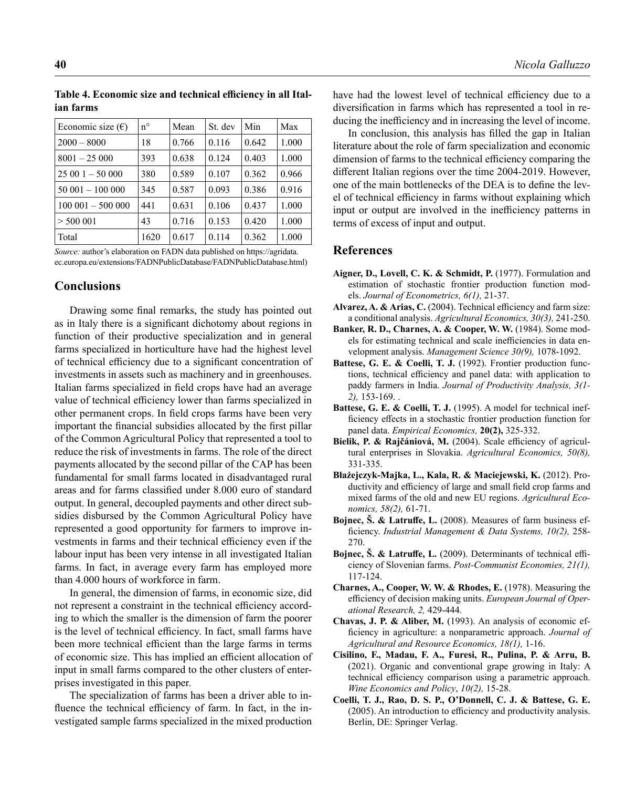| Economic size $(\epsilon)$ | $n^{\circ}$ | Mean  | St. dev | Min   | Max   |
|----------------------------|-------------|-------|---------|-------|-------|
| $2000 - 8000$              | 18          | 0.766 | 0.116   | 0.642 | 1.000 |
| $8001 - 25000$             | 393         | 0.638 | 0.124   | 0.403 | 1.000 |
| $25001 - 50000$            | 380         | 0.589 | 0.107   | 0.362 | 0.966 |
| $50001 - 100000$           | 345         | 0.587 | 0.093   | 0.386 | 0.916 |
| $100001 - 500000$          | 441         | 0.631 | 0.106   | 0.437 | 1.000 |
| $>$ 500 001                | 43          | 0.716 | 0.153   | 0.420 | 1.000 |
| Total                      | 1620        | 0.617 | 0.114   | 0.362 | 1.000 |

**Table 4. Economic size and technical efficiency in all Italian farms**

*Source:* author's elaboration on FADN data published on https://agridata. ec.europa.eu/extensions/FADNPublicDatabase/FADNPublicDatabase.html)

# **Conclusions**

Drawing some final remarks, the study has pointed out as in Italy there is a significant dichotomy about regions in function of their productive specialization and in general farms specialized in horticulture have had the highest level of technical efficiency due to a significant concentration of investments in assets such as machinery and in greenhouses. Italian farms specialized in field crops have had an average value of technical efficiency lower than farms specialized in other permanent crops. In field crops farms have been very important the financial subsidies allocated by the first pillar of the Common Agricultural Policy that represented a tool to reduce the risk of investments in farms. The role of the direct payments allocated by the second pillar of the CAP has been fundamental for small farms located in disadvantaged rural areas and for farms classified under 8.000 euro of standard output. In general, decoupled payments and other direct subsidies disbursed by the Common Agricultural Policy have represented a good opportunity for farmers to improve investments in farms and their technical efficiency even if the labour input has been very intense in all investigated Italian farms. In fact, in average every farm has employed more than 4.000 hours of workforce in farm.

In general, the dimension of farms, in economic size, did not represent a constraint in the technical efficiency according to which the smaller is the dimension of farm the poorer is the level of technical efficiency. In fact, small farms have been more technical efficient than the large farms in terms of economic size. This has implied an efficient allocation of input in small farms compared to the other clusters of enterprises investigated in this paper.

The specialization of farms has been a driver able to influence the technical efficiency of farm. In fact, in the investigated sample farms specialized in the mixed production have had the lowest level of technical efficiency due to a diversification in farms which has represented a tool in reducing the inefficiency and in increasing the level of income.

In conclusion, this analysis has filled the gap in Italian literature about the role of farm specialization and economic dimension of farms to the technical efficiency comparing the different Italian regions over the time 2004-2019. However, one of the main bottlenecks of the DEA is to define the level of technical efficiency in farms without explaining which input or output are involved in the inefficiency patterns in terms of excess of input and output.

# **References**

- **Aigner, D., Lovell, C. K. & Schmidt, P.** (1977). Formulation and estimation of stochastic frontier production function models. *Journal of Econometrics, 6(1),* 21-37.
- **Alvarez, A. & Arias, C.** (2004). Technical efficiency and farm size: a conditional analysis. *Agricultural Economics, 30(3),* 241-250.
- **Banker, R. D., Charnes, A. & Cooper, W. W.** (1984). Some models for estimating technical and scale inefficiencies in data envelopment analysis. *Management Science 30(9),* 1078-1092.
- **Battese, G. E. & Coelli, T. J.** (1992). Frontier production functions, technical efficiency and panel data: with application to paddy farmers in India. *Journal of Productivity Analysis, 3(1- 2),* 153-169. .
- **Battese, G. E. & Coelli, T. J.** (1995). A model for technical inefficiency effects in a stochastic frontier production function for panel data. *Empirical Economics,* **20(2),** 325-332.
- **Bielik, P. & Rajčániová, M.** (2004). Scale efficiency of agricultural enterprises in Slovakia. *Agricultural Economics, 50(8),* 331-335.
- **Błażejczyk-Majka, L., Kala, R. & Maciejewski, K.** (2012). Productivity and efficiency of large and small field crop farms and mixed farms of the old and new EU regions. *Agricultural Economics, 58(2),* 61-71.
- **Bojnec, Š. & Latruffe, L.** (2008). Measures of farm business efficiency. *Industrial Management & Data Systems, 10(2),* 258- 270.
- **Bojnec, Š. & Latruffe, L.** (2009). Determinants of technical efficiency of Slovenian farms. *Post-Communist Economies, 21(1),* 117-124.
- **Charnes, A., Cooper, W. W. & Rhodes, E.** (1978). Measuring the efficiency of decision making units. *European Journal of Operational Research, 2,* 429-444.
- **Chavas, J. P. & Aliber, M.** (1993). An analysis of economic efficiency in agriculture: a nonparametric approach. *Journal of Agricultural and Resource Economics, 18(1),* 1-16.
- **Cisilino, F., Madau, F. A., Furesi, R., Pulina, P. & Arru, B.** (2021). Organic and conventional grape growing in Italy: A technical efficiency comparison using a parametric approach. *Wine Economics and Policy*, *10(2),* 15-28.
- **Coelli, T. J., Rao, D. S. P., O'Donnell, C. J. & Battese, G. E.** (2005). An introduction to efficiency and productivity analysis. Berlin, DE: Springer Verlag.